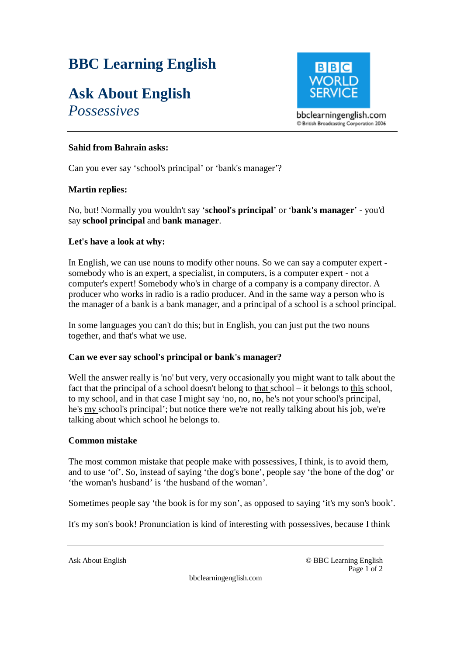# **BBC Learning English**

# **Ask About English**  *Possessives*

 $B|B|C$ **WORL** 

bbclearningenglish.com C British Broadcasting Corporation 2006

## **Sahid from Bahrain asks:**

Can you ever say 'school's principal' or 'bank's manager'?

### **Martin replies:**

No, but! Normally you wouldn't say '**school's principal**' or '**bank's manager**' - you'd say **school principal** and **bank manager**.

### **Let's have a look at why:**

In English, we can use nouns to modify other nouns. So we can say a computer expert somebody who is an expert, a specialist, in computers, is a computer expert - not a computer's expert! Somebody who's in charge of a company is a company director. A producer who works in radio is a radio producer. And in the same way a person who is the manager of a bank is a bank manager, and a principal of a school is a school principal.

In some languages you can't do this; but in English, you can just put the two nouns together, and that's what we use.

#### **Can we ever say school's principal or bank's manager?**

Well the answer really is 'no' but very, very occasionally you might want to talk about the fact that the principal of a school doesn't belong to that school – it belongs to this school, to my school, and in that case I might say 'no, no, no, he's not your school's principal, he's my school's principal'; but notice there we're not really talking about his job, we're talking about which school he belongs to.

#### **Common mistake**

The most common mistake that people make with possessives, I think, is to avoid them, and to use 'of'. So, instead of saying 'the dog's bone', people say 'the bone of the dog' or 'the woman's husband' is 'the husband of the woman'.

Sometimes people say 'the book is for my son', as opposed to saying 'it's my son's book'.

It's my son's book! Pronunciation is kind of interesting with possessives, because I think

Ask About English © BBC Learning English Page 1 of 2

bbclearningenglish.com